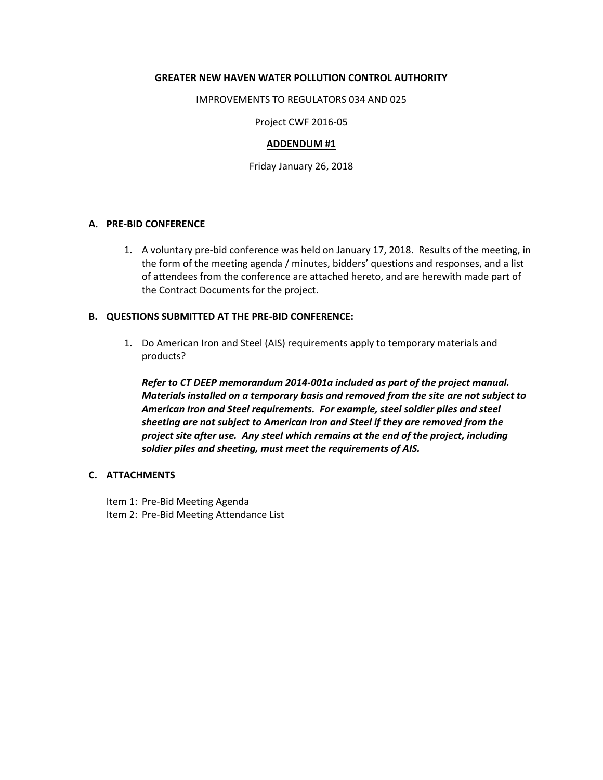### **GREATER NEW HAVEN WATER POLLUTION CONTROL AUTHORITY**

#### IMPROVEMENTS TO REGULATORS 034 AND 025

Project CWF 2016-05

#### **ADDENDUM #1**

Friday January 26, 2018

### **A. PRE-BID CONFERENCE**

1. A voluntary pre-bid conference was held on January 17, 2018. Results of the meeting, in the form of the meeting agenda / minutes, bidders' questions and responses, and a list of attendees from the conference are attached hereto, and are herewith made part of the Contract Documents for the project.

# **B. QUESTIONS SUBMITTED AT THE PRE-BID CONFERENCE:**

1. Do American Iron and Steel (AIS) requirements apply to temporary materials and products?

*Refer to CT DEEP memorandum 2014-001a included as part of the project manual. Materials installed on a temporary basis and removed from the site are not subject to American Iron and Steel requirements. For example, steel soldier piles and steel sheeting are not subject to American Iron and Steel if they are removed from the project site after use. Any steel which remains at the end of the project, including soldier piles and sheeting, must meet the requirements of AIS.*

#### **C. ATTACHMENTS**

- Item 1: Pre-Bid Meeting Agenda
- Item 2: Pre-Bid Meeting Attendance List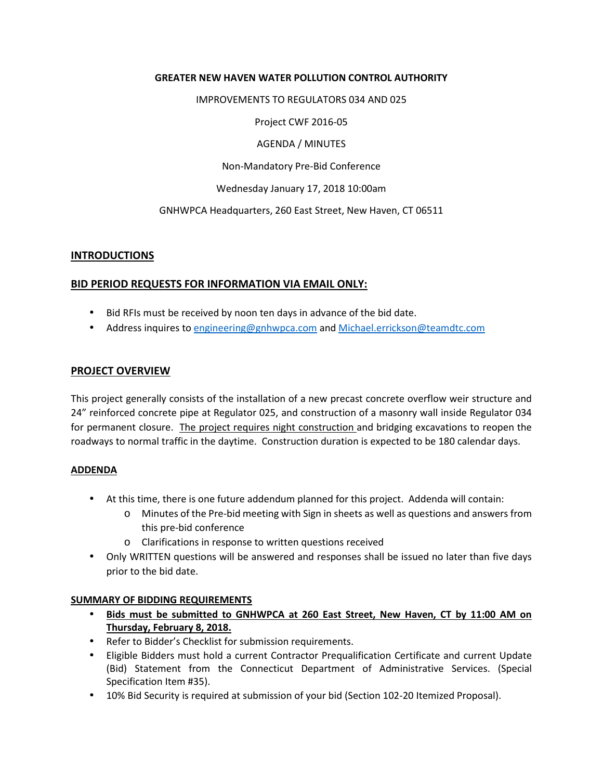# **GREATER NEW HAVEN WATER POLLUTION CONTROL AUTHORITY**

## IMPROVEMENTS TO REGULATORS 034 AND 025

Project CWF 2016-05

AGENDA / MINUTES

Non-Mandatory Pre-Bid Conference

Wednesday January 17, 2018 10:00am

GNHWPCA Headquarters, 260 East Street, New Haven, CT 06511

# **INTRODUCTIONS**

# **BID PERIOD REQUESTS FOR INFORMATION VIA EMAIL ONLY:**

- Bid RFIs must be received by noon ten days in advance of the bid date.
- Address inquires to engineering@gnhwpca.com and Michael.errickson@teamdtc.com

# **PROJECT OVERVIEW**

This project generally consists of the installation of a new precast concrete overflow weir structure and 24" reinforced concrete pipe at Regulator 025, and construction of a masonry wall inside Regulator 034 for permanent closure. The project requires night construction and bridging excavations to reopen the roadways to normal traffic in the daytime. Construction duration is expected to be 180 calendar days.

## **ADDENDA**

- At this time, there is one future addendum planned for this project. Addenda will contain:
	- o Minutes of the Pre-bid meeting with Sign in sheets as well as questions and answers from this pre-bid conference
	- o Clarifications in response to written questions received
- Only WRITTEN questions will be answered and responses shall be issued no later than five days prior to the bid date.

## **SUMMARY OF BIDDING REQUIREMENTS**

- **Bids must be submitted to GNHWPCA at 260 East Street, New Haven, CT by 11:00 AM on Thursday, February 8, 2018.**
- Refer to Bidder's Checklist for submission requirements.
- Eligible Bidders must hold a current Contractor Prequalification Certificate and current Update (Bid) Statement from the Connecticut Department of Administrative Services. (Special Specification Item #35).
- 10% Bid Security is required at submission of your bid (Section 102-20 Itemized Proposal).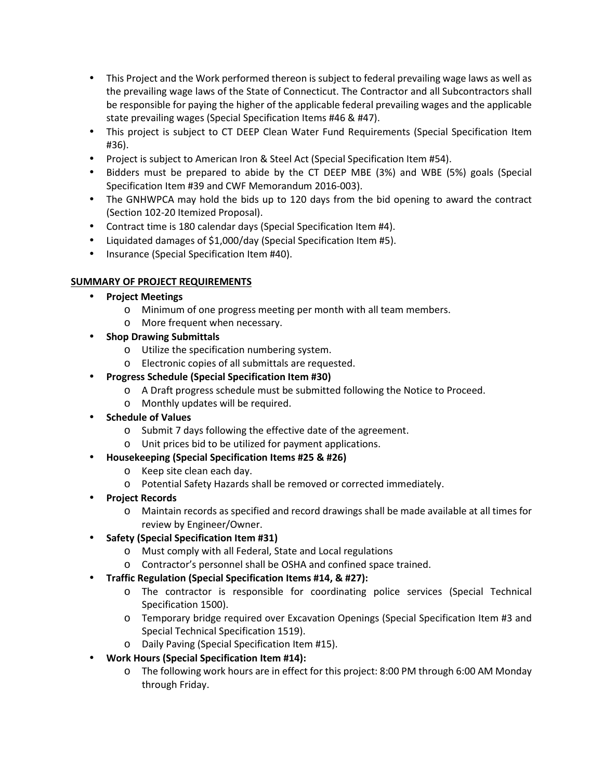- This Project and the Work performed thereon is subject to federal prevailing wage laws as well as the prevailing wage laws of the State of Connecticut. The Contractor and all Subcontractors shall be responsible for paying the higher of the applicable federal prevailing wages and the applicable state prevailing wages (Special Specification Items #46 & #47).
- This project is subject to CT DEEP Clean Water Fund Requirements (Special Specification Item #36).
- Project is subject to American Iron & Steel Act (Special Specification Item #54).
- Bidders must be prepared to abide by the CT DEEP MBE (3%) and WBE (5%) goals (Special Specification Item #39 and CWF Memorandum 2016-003).
- The GNHWPCA may hold the bids up to 120 days from the bid opening to award the contract (Section 102-20 Itemized Proposal).
- Contract time is 180 calendar days (Special Specification Item #4).
- Liquidated damages of \$1,000/day (Special Specification Item #5).
- Insurance (Special Specification Item #40).

# **SUMMARY OF PROJECT REQUIREMENTS**

- **Project Meetings** 
	- o Minimum of one progress meeting per month with all team members.
	- o More frequent when necessary.
- **Shop Drawing Submittals** 
	- o Utilize the specification numbering system.
	- o Electronic copies of all submittals are requested.
- **Progress Schedule (Special Specification Item #30)** 
	- o A Draft progress schedule must be submitted following the Notice to Proceed.
	- o Monthly updates will be required.
- **Schedule of Values** 
	- o Submit 7 days following the effective date of the agreement.
	- o Unit prices bid to be utilized for payment applications.
- **Housekeeping (Special Specification Items #25 & #26)** 
	- o Keep site clean each day.
	- o Potential Safety Hazards shall be removed or corrected immediately.
- **Project Records** 
	- o Maintain records as specified and record drawings shall be made available at all times for review by Engineer/Owner.
- **Safety (Special Specification Item #31)** 
	- o Must comply with all Federal, State and Local regulations
	- o Contractor's personnel shall be OSHA and confined space trained.
- **Traffic Regulation (Special Specification Items #14, & #27):** 
	- o The contractor is responsible for coordinating police services (Special Technical Specification 1500).
	- o Temporary bridge required over Excavation Openings (Special Specification Item #3 and Special Technical Specification 1519).
	- o Daily Paving (Special Specification Item #15).
- **Work Hours (Special Specification Item #14):** 
	- o The following work hours are in effect for this project: 8:00 PM through 6:00 AM Monday through Friday.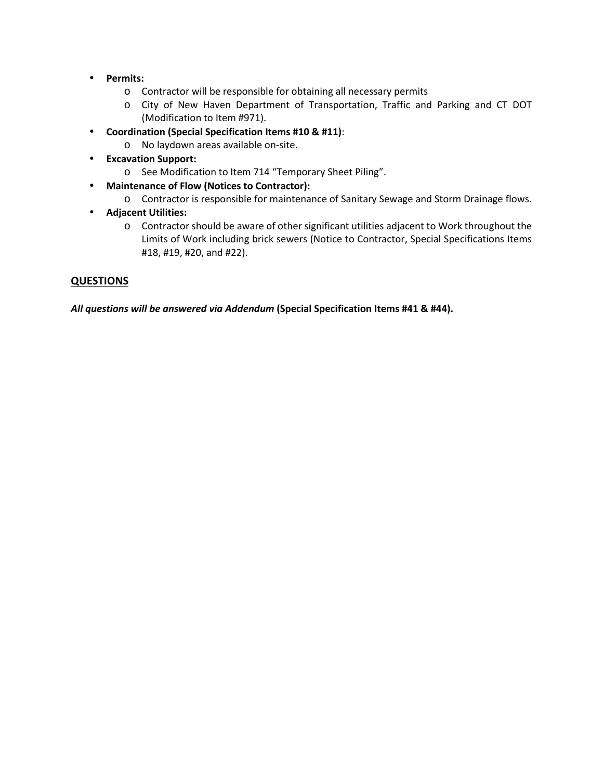- **Permits:**
	- o Contractor will be responsible for obtaining all necessary permits
	- o City of New Haven Department of Transportation, Traffic and Parking and CT DOT (Modification to Item #971).
- **Coordination (Special Specification Items #10 & #11)**:
	- o No laydown areas available on-site.
- **Excavation Support:**
	- o See Modification to Item 714 "Temporary Sheet Piling".
- **Maintenance of Flow (Notices to Contractor):** 
	- o Contractor is responsible for maintenance of Sanitary Sewage and Storm Drainage flows.
- **Adjacent Utilities:**
	- o Contractor should be aware of other significant utilities adjacent to Work throughout the Limits of Work including brick sewers (Notice to Contractor, Special Specifications Items #18, #19, #20, and #22).

# **QUESTIONS**

*All questions will be answered via Addendum* **(Special Specification Items #41 & #44).**